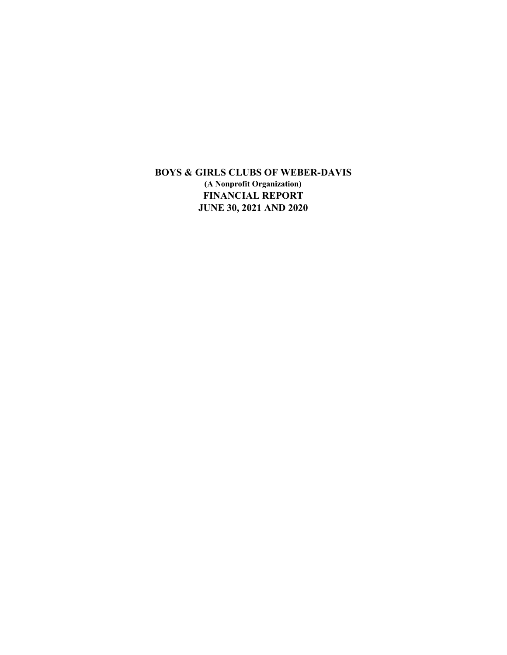**BOYS & GIRLS CLUBS OF WEBER-DAVIS (A Nonprofit Organization) FINANCIAL REPORT JUNE 30, 2021 AND 2020**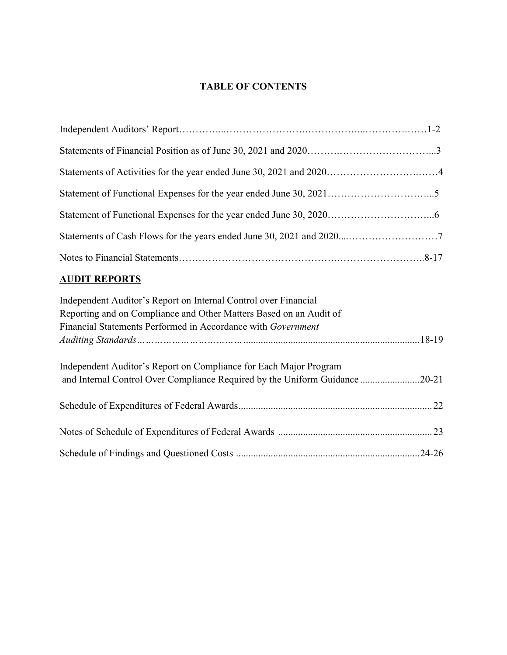# **TABLE OF CONTENTS**

| <b>AUDIT REPORTS</b>                                                                                                                                                                                                                                                                             |  |
|--------------------------------------------------------------------------------------------------------------------------------------------------------------------------------------------------------------------------------------------------------------------------------------------------|--|
| $\mathbf{v}$ and $\mathbf{v}$ and $\mathbf{v}$ and $\mathbf{v}$ and $\mathbf{v}$ and $\mathbf{v}$ and $\mathbf{v}$ and $\mathbf{v}$ and $\mathbf{v}$ and $\mathbf{v}$ and $\mathbf{v}$ and $\mathbf{v}$ and $\mathbf{v}$ and $\mathbf{v}$ and $\mathbf{v}$ and $\mathbf{v}$ and $\mathbf{v}$ and |  |

| Independent Auditor's Report on Internal Control over Financial             |
|-----------------------------------------------------------------------------|
| Reporting and on Compliance and Other Matters Based on an Audit of          |
| Financial Statements Performed in Accordance with Government                |
|                                                                             |
| Independent Auditor's Report on Compliance for Each Major Program           |
| and Internal Control Over Compliance Required by the Uniform Guidance 20-21 |
|                                                                             |
|                                                                             |
|                                                                             |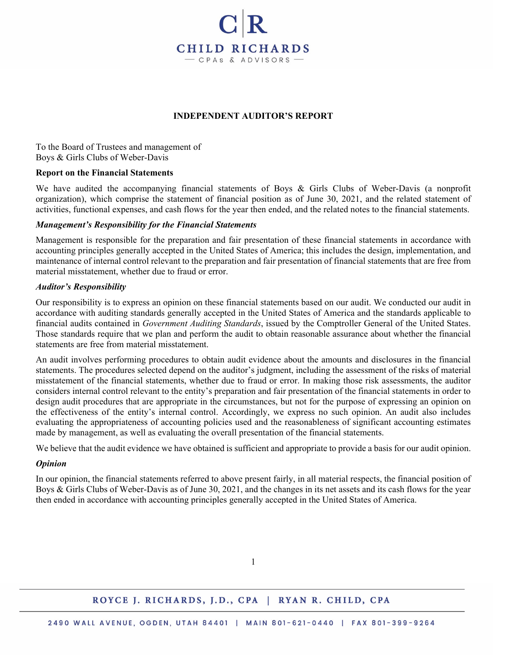

### **INDEPENDENT AUDITOR'S REPORT**

To the Board of Trustees and management of Boys & Girls Clubs of Weber-Davis

#### **Report on the Financial Statements**

We have audited the accompanying financial statements of Boys & Girls Clubs of Weber-Davis (a nonprofit organization), which comprise the statement of financial position as of June 30, 2021, and the related statement of activities, functional expenses, and cash flows for the year then ended, and the related notes to the financial statements.

#### *Management's Responsibility for the Financial Statements*

Management is responsible for the preparation and fair presentation of these financial statements in accordance with accounting principles generally accepted in the United States of America; this includes the design, implementation, and maintenance of internal control relevant to the preparation and fair presentation of financial statements that are free from material misstatement, whether due to fraud or error.

#### *Auditor's Responsibility*

Our responsibility is to express an opinion on these financial statements based on our audit. We conducted our audit in accordance with auditing standards generally accepted in the United States of America and the standards applicable to financial audits contained in *Government Auditing Standards*, issued by the Comptroller General of the United States. Those standards require that we plan and perform the audit to obtain reasonable assurance about whether the financial statements are free from material misstatement.

An audit involves performing procedures to obtain audit evidence about the amounts and disclosures in the financial statements. The procedures selected depend on the auditor's judgment, including the assessment of the risks of material misstatement of the financial statements, whether due to fraud or error. In making those risk assessments, the auditor considers internal control relevant to the entity's preparation and fair presentation of the financial statements in order to design audit procedures that are appropriate in the circumstances, but not for the purpose of expressing an opinion on the effectiveness of the entity's internal control. Accordingly, we express no such opinion. An audit also includes evaluating the appropriateness of accounting policies used and the reasonableness of significant accounting estimates made by management, as well as evaluating the overall presentation of the financial statements.

We believe that the audit evidence we have obtained is sufficient and appropriate to provide a basis for our audit opinion.

#### *Opinion*

In our opinion, the financial statements referred to above present fairly, in all material respects, the financial position of Boys & Girls Clubs of Weber-Davis as of June 30, 2021, and the changes in its net assets and its cash flows for the year then ended in accordance with accounting principles generally accepted in the United States of America.

## ROYCE J. RICHARDS, J.D., CPA | RYAN R. CHILD, CPA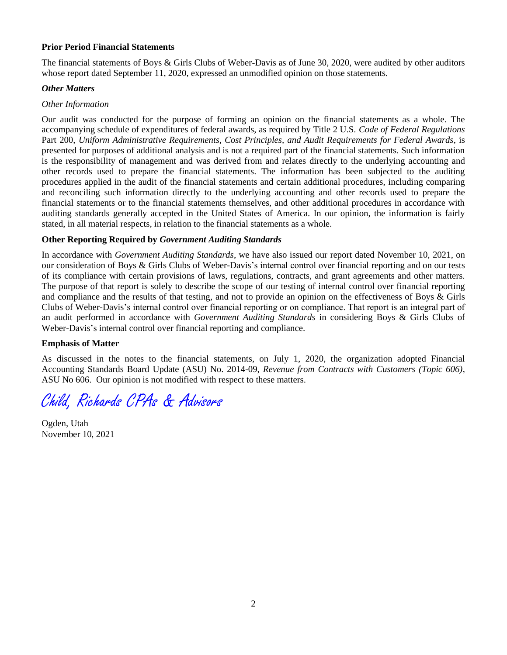#### **Prior Period Financial Statements**

The financial statements of Boys & Girls Clubs of Weber-Davis as of June 30, 2020, were audited by other auditors whose report dated September 11, 2020, expressed an unmodified opinion on those statements.

#### *Other Matters*

#### *Other Information*

Our audit was conducted for the purpose of forming an opinion on the financial statements as a whole. The accompanying schedule of expenditures of federal awards, as required by Title 2 U.S. *Code of Federal Regulations* Part 200, *Uniform Administrative Requirements, Cost Principles, and Audit Requirements for Federal Awards*, is presented for purposes of additional analysis and is not a required part of the financial statements. Such information is the responsibility of management and was derived from and relates directly to the underlying accounting and other records used to prepare the financial statements. The information has been subjected to the auditing procedures applied in the audit of the financial statements and certain additional procedures, including comparing and reconciling such information directly to the underlying accounting and other records used to prepare the financial statements or to the financial statements themselves, and other additional procedures in accordance with auditing standards generally accepted in the United States of America. In our opinion, the information is fairly stated, in all material respects, in relation to the financial statements as a whole.

#### **Other Reporting Required by** *Government Auditing Standards*

In accordance with *Government Auditing Standards*, we have also issued our report dated November 10, 2021, on our consideration of Boys & Girls Clubs of Weber-Davis's internal control over financial reporting and on our tests of its compliance with certain provisions of laws, regulations, contracts, and grant agreements and other matters. The purpose of that report is solely to describe the scope of our testing of internal control over financial reporting and compliance and the results of that testing, and not to provide an opinion on the effectiveness of Boys & Girls Clubs of Weber-Davis's internal control over financial reporting or on compliance. That report is an integral part of an audit performed in accordance with *Government Auditing Standards* in considering Boys & Girls Clubs of Weber-Davis's internal control over financial reporting and compliance.

#### **Emphasis of Matter**

As discussed in the notes to the financial statements, on July 1, 2020, the organization adopted Financial Accounting Standards Board Update (ASU) No. 2014-09, *Revenue from Contracts with Customers (Topic 606)*, ASU No 606. Our opinion is not modified with respect to these matters.

Child, Richards CPAs & Advisors

Ogden, Utah November 10, 2021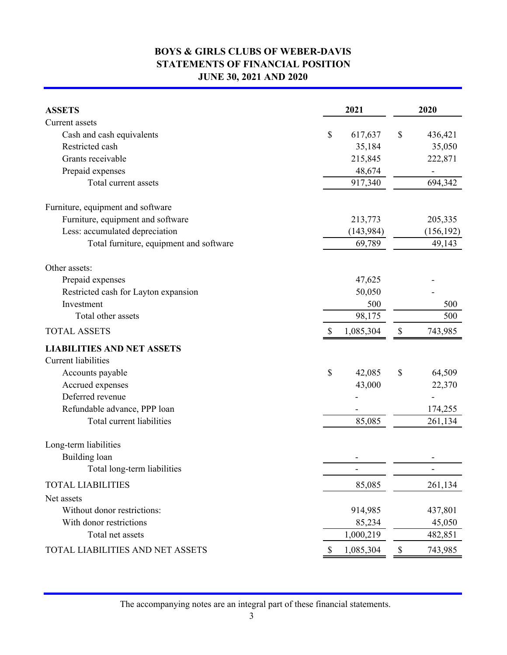# **BOYS & GIRLS CLUBS OF WEBER-DAVIS STATEMENTS OF FINANCIAL POSITION JUNE 30, 2021 AND 2020**

| <b>ASSETS</b>                           | 2021            |                           | 2020                         |
|-----------------------------------------|-----------------|---------------------------|------------------------------|
| Current assets                          |                 |                           |                              |
| Cash and cash equivalents               | \$<br>617,637   | \$                        | 436,421                      |
| Restricted cash                         | 35,184          |                           | 35,050                       |
| Grants receivable                       | 215,845         |                           | 222,871                      |
| Prepaid expenses                        | 48,674          |                           | $\qquad \qquad \blacksquare$ |
| Total current assets                    | 917,340         |                           | 694,342                      |
| Furniture, equipment and software       |                 |                           |                              |
| Furniture, equipment and software       | 213,773         |                           | 205,335                      |
| Less: accumulated depreciation          | (143,984)       |                           | (156, 192)                   |
| Total furniture, equipment and software | 69,789          |                           | 49,143                       |
| Other assets:                           |                 |                           |                              |
| Prepaid expenses                        | 47,625          |                           |                              |
| Restricted cash for Layton expansion    | 50,050          |                           |                              |
| Investment                              | 500             |                           | 500                          |
| Total other assets                      | 98,175          |                           | 500                          |
| <b>TOTAL ASSETS</b>                     | 1,085,304       | \$                        | 743,985                      |
| <b>LIABILITIES AND NET ASSETS</b>       |                 |                           |                              |
| <b>Current liabilities</b>              |                 |                           |                              |
| Accounts payable                        | \$<br>42,085    | \$                        | 64,509                       |
| Accrued expenses                        | 43,000          |                           | 22,370                       |
| Deferred revenue                        |                 |                           |                              |
| Refundable advance, PPP loan            |                 |                           | 174,255                      |
| Total current liabilities               | 85,085          |                           | 261,134                      |
| Long-term liabilities                   |                 |                           |                              |
| Building loan                           |                 |                           |                              |
| Total long-term liabilities             |                 |                           |                              |
| <b>TOTAL LIABILITIES</b>                | 85,085          |                           | 261,134                      |
| Net assets                              |                 |                           |                              |
| Without donor restrictions:             | 914,985         |                           | 437,801                      |
| With donor restrictions                 | 85,234          |                           | 45,050                       |
| Total net assets                        | 1,000,219       |                           | 482,851                      |
| TOTAL LIABILITIES AND NET ASSETS        | \$<br>1,085,304 | $\boldsymbol{\mathsf{S}}$ | 743,985                      |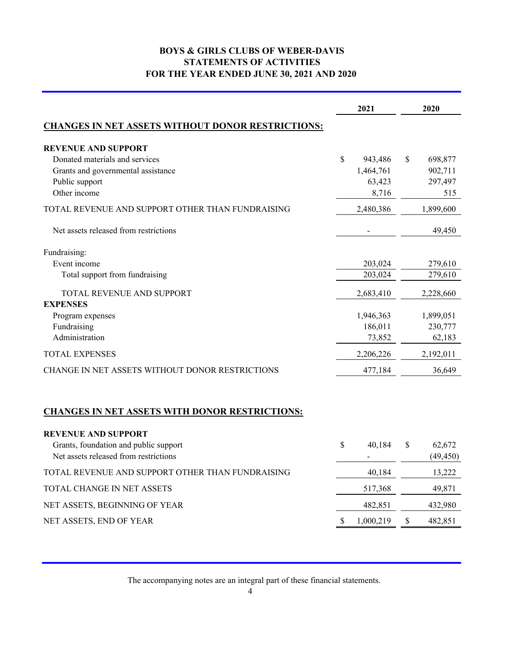## **BOYS & GIRLS CLUBS OF WEBER-DAVIS STATEMENTS OF ACTIVITIES FOR THE YEAR ENDED JUNE 30, 2021 AND 2020**

|                                                                                                              | 2021            | 2020                      |
|--------------------------------------------------------------------------------------------------------------|-----------------|---------------------------|
| <b>CHANGES IN NET ASSETS WITHOUT DONOR RESTRICTIONS:</b>                                                     |                 |                           |
| <b>REVENUE AND SUPPORT</b>                                                                                   |                 |                           |
| Donated materials and services                                                                               | \$<br>943,486   | \$<br>698,877             |
| Grants and governmental assistance                                                                           | 1,464,761       | 902,711                   |
| Public support                                                                                               | 63,423          | 297,497                   |
| Other income                                                                                                 | 8,716           | 515                       |
| TOTAL REVENUE AND SUPPORT OTHER THAN FUNDRAISING                                                             | 2,480,386       | 1,899,600                 |
| Net assets released from restrictions                                                                        |                 | 49,450                    |
| Fundraising:                                                                                                 |                 |                           |
| Event income                                                                                                 | 203,024         | 279,610                   |
| Total support from fundraising                                                                               | 203,024         | 279,610                   |
| <b>TOTAL REVENUE AND SUPPORT</b>                                                                             | 2,683,410       | 2,228,660                 |
| <b>EXPENSES</b><br>Program expenses                                                                          | 1,946,363       | 1,899,051                 |
| Fundraising                                                                                                  | 186,011         | 230,777                   |
| Administration                                                                                               | 73,852          | 62,183                    |
| <b>TOTAL EXPENSES</b>                                                                                        | 2,206,226       | 2,192,011                 |
| CHANGE IN NET ASSETS WITHOUT DONOR RESTRICTIONS                                                              | 477,184         | 36,649                    |
| <b>CHANGES IN NET ASSETS WITH DONOR RESTRICTIONS:</b>                                                        |                 |                           |
| <b>REVENUE AND SUPPORT</b><br>Grants, foundation and public support<br>Net assets released from restrictions | \$<br>40,184    | \$<br>62,672<br>(49, 450) |
|                                                                                                              |                 |                           |
| TOTAL REVENUE AND SUPPORT OTHER THAN FUNDRAISING                                                             | 40,184          | 13,222                    |
| TOTAL CHANGE IN NET ASSETS                                                                                   | 517,368         | 49,871                    |
| NET ASSETS, BEGINNING OF YEAR                                                                                | 482,851         | 432,980                   |
| NET ASSETS, END OF YEAR                                                                                      | \$<br>1,000,219 | \$<br>482,851             |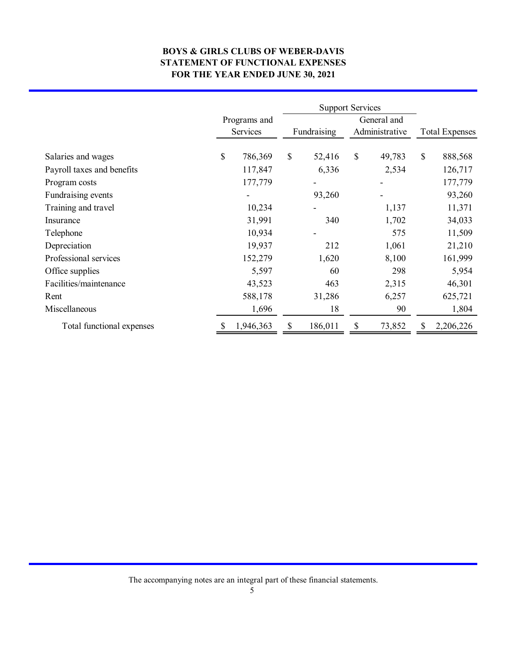## **STATEMENT OF FUNCTIONAL EXPENSES FOR THE YEAR ENDED JUNE 30, 2021 BOYS & GIRLS CLUBS OF WEBER-DAVIS**

|                            |               | <b>Support Services</b> |                |               |                       |
|----------------------------|---------------|-------------------------|----------------|---------------|-----------------------|
|                            | Programs and  |                         | General and    |               |                       |
|                            | Services      | Fundraising             | Administrative |               | <b>Total Expenses</b> |
| Salaries and wages         | \$<br>786,369 | \$<br>52,416            | \$<br>49,783   | $\mathcal{S}$ | 888,568               |
| Payroll taxes and benefits | 117,847       | 6,336                   | 2,534          |               | 126,717               |
| Program costs              | 177,779       |                         |                |               | 177,779               |
| Fundraising events         |               | 93,260                  |                |               | 93,260                |
| Training and travel        | 10,234        |                         | 1,137          |               | 11,371                |
| Insurance                  | 31,991        | 340                     | 1,702          |               | 34,033                |
| Telephone                  | 10,934        |                         | 575            |               | 11,509                |
| Depreciation               | 19,937        | 212                     | 1,061          |               | 21,210                |
| Professional services      | 152,279       | 1,620                   | 8,100          |               | 161,999               |
| Office supplies            | 5,597         | 60                      | 298            |               | 5,954                 |
| Facilities/maintenance     | 43,523        | 463                     | 2,315          |               | 46,301                |
| Rent                       | 588,178       | 31,286                  | 6,257          |               | 625,721               |
| Miscellaneous              | 1,696         | 18                      | 90             |               | 1,804                 |
| Total functional expenses  | 1,946,363     | \$<br>186,011           | \$<br>73,852   | S             | 2,206,226             |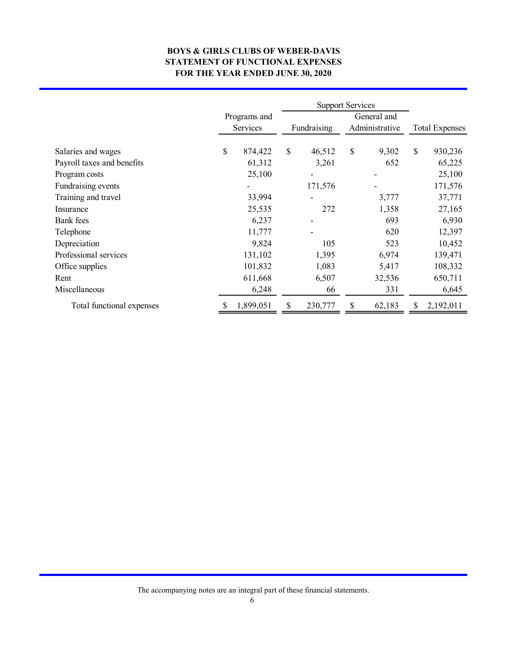## **BOYS & GIRLS CLUBS OF WEBER-DAVIS STATEMENT OF FUNCTIONAL EXPENSES FOR THE YEAR ENDED JUNE 30, 2020**

|                            |               | <b>Support Services</b> |             |    |                |    |                       |
|----------------------------|---------------|-------------------------|-------------|----|----------------|----|-----------------------|
|                            | Programs and  |                         |             |    | General and    |    |                       |
|                            | Services      |                         | Fundraising |    | Administrative |    | <b>Total Expenses</b> |
|                            |               |                         |             |    |                |    |                       |
| Salaries and wages         | \$<br>874,422 | \$                      | 46,512      | \$ | 9,302          | \$ | 930,236               |
| Payroll taxes and benefits | 61,312        |                         | 3,261       |    | 652            |    | 65,225                |
| Program costs              | 25,100        |                         |             |    |                |    | 25,100                |
| Fundraising events         |               |                         | 171,576     |    |                |    | 171,576               |
| Training and travel        | 33,994        |                         |             |    | 3,777          |    | 37,771                |
| Insurance                  | 25,535        |                         | 272         |    | 1,358          |    | 27,165                |
| Bank fees                  | 6,237         |                         |             |    | 693            |    | 6,930                 |
| Telephone                  | 11,777        |                         |             |    | 620            |    | 12,397                |
| Depreciation               | 9,824         |                         | 105         |    | 523            |    | 10,452                |
| Professional services      | 131,102       |                         | 1,395       |    | 6,974          |    | 139,471               |
| Office supplies            | 101,832       |                         | 1,083       |    | 5,417          |    | 108,332               |
| Rent                       | 611,668       |                         | 6,507       |    | 32,536         |    | 650,711               |
| Miscellaneous              | 6,248         |                         | 66          |    | 331            |    | 6,645                 |
| Total functional expenses  | 1,899,051     | \$                      | 230,777     | \$ | 62,183         | S  | 2,192,011             |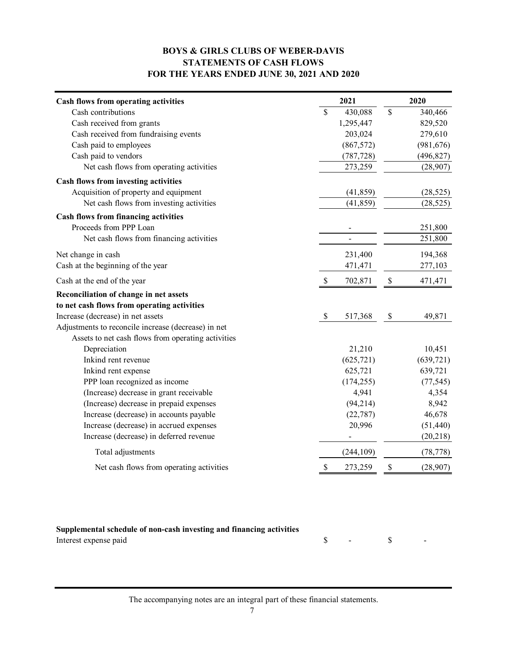## **BOYS & GIRLS CLUBS OF WEBER-DAVIS STATEMENTS OF CASH FLOWS FOR THE YEARS ENDED JUNE 30, 2021 AND 2020**

|                           |                |              | 2020       |
|---------------------------|----------------|--------------|------------|
| \$                        | 430,088        | $\mathbb{S}$ | 340,466    |
|                           | 1,295,447      |              | 829,520    |
|                           | 203,024        |              | 279,610    |
|                           | (867, 572)     |              | (981, 676) |
|                           | (787, 728)     |              | (496, 827) |
|                           | 273,259        |              | (28,907)   |
|                           |                |              |            |
|                           | (41, 859)      |              | (28, 525)  |
|                           | (41, 859)      |              | (28, 525)  |
|                           |                |              |            |
|                           |                |              | 251,800    |
|                           | $\overline{a}$ |              | 251,800    |
|                           | 231,400        |              | 194,368    |
|                           | 471,471        |              | 277,103    |
| $\boldsymbol{\mathsf{S}}$ | 702,871        | \$           | 471,471    |
|                           |                |              |            |
|                           |                |              |            |
| \$                        | 517,368        | \$           | 49,871     |
|                           |                |              |            |
|                           |                |              |            |
|                           | 21,210         |              | 10,451     |
|                           | (625, 721)     |              | (639, 721) |
|                           | 625,721        |              | 639,721    |
|                           | (174, 255)     |              | (77, 545)  |
|                           | 4,941          |              | 4,354      |
|                           | (94, 214)      |              | 8,942      |
|                           | (22, 787)      |              | 46,678     |
|                           | 20,996         |              | (51, 440)  |
|                           |                |              | (20, 218)  |
|                           | (244, 109)     |              | (78, 778)  |
| $\boldsymbol{\mathsf{S}}$ | 273,259        | \$           | (28,907)   |
|                           |                |              |            |

### **Supplemental schedule of non-cash investing and financing activities**

Interest expense paid - \$ - \$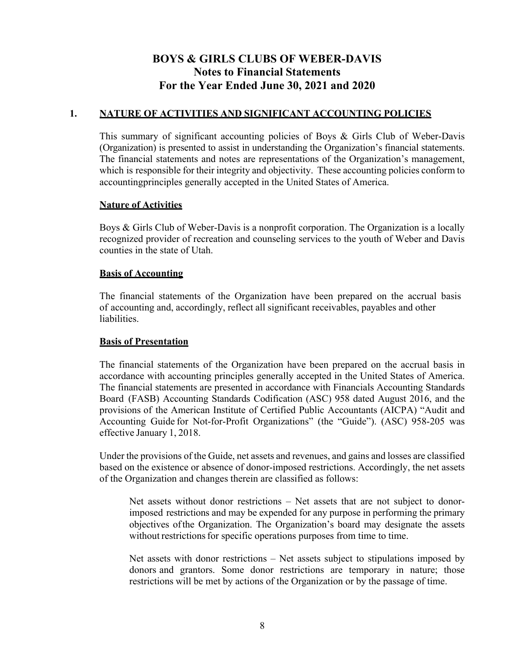## **1. NATURE OF ACTIVITIES AND SIGNIFICANT ACCOUNTING POLICIES**

This summary of significant accounting policies of Boys & Girls Club of Weber-Davis (Organization) is presented to assist in understanding the Organization's financial statements. The financial statements and notes are representations of the Organization's management, which is responsible for their integrity and objectivity. These accounting policies conform to accounting principles generally accepted in the United States of America.

## **Nature of Activities**

Boys & Girls Club of Weber-Davis is a nonprofit corporation. The Organization is a locally recognized provider of recreation and counseling services to the youth of Weber and Davis counties in the state of Utah.

## **Basis of Accounting**

The financial statements of the Organization have been prepared on the accrual basis of accounting and, accordingly, reflect all significant receivables, payables and other liabilities.

## **Basis of Presentation**

The financial statements of the Organization have been prepared on the accrual basis in accordance with accounting principles generally accepted in the United States of America. The financial statements are presented in accordance with Financials Accounting Standards Board (FASB) Accounting Standards Codification (ASC) 958 dated August 2016, and the provisions of the American Institute of Certified Public Accountants (AICPA) "Audit and Accounting Guide for Not-for-Profit Organizations" (the "Guide"). (ASC) 958-205 was effective January 1, 2018.

Under the provisions of the Guide, net assets and revenues, and gains and losses are classified based on the existence or absence of donor-imposed restrictions. Accordingly, the net assets of the Organization and changes therein are classified as follows:

Net assets without donor restrictions – Net assets that are not subject to donorimposed restrictions and may be expended for any purpose in performing the primary objectives of the Organization. The Organization's board may designate the assets without restrictions for specific operations purposes from time to time.

Net assets with donor restrictions – Net assets subject to stipulations imposed by donors and grantors. Some donor restrictions are temporary in nature; those restrictions will be met by actions of the Organization or by the passage of time.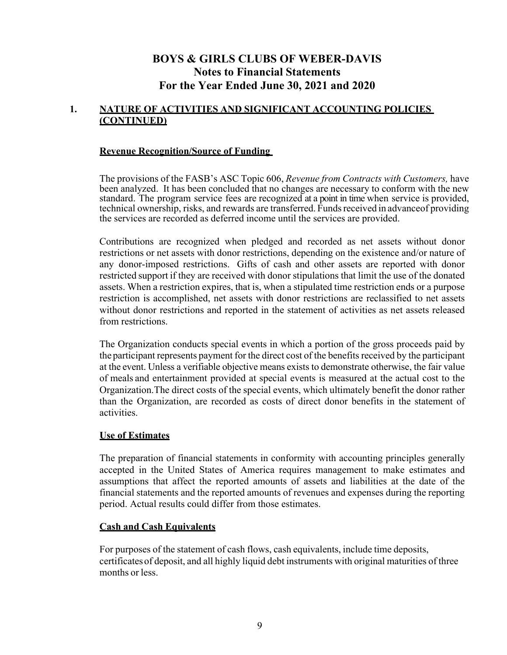# **1. NATURE OF ACTIVITIES AND SIGNIFICANT ACCOUNTING POLICIES (CONTINUED)**

### **Revenue Recognition/Source of Funding**

The provisions of the FASB's ASC Topic 606, *Revenue from Contracts with Customers,* have been analyzed. It has been concluded that no changes are necessary to conform with the new standard. The program service fees are recognized at a point in time when service is provided, technical ownership, risks, and rewards are transferred. Funds received in advance of providing the services are recorded as deferred income until the services are provided.

Contributions are recognized when pledged and recorded as net assets without donor restrictions or net assets with donor restrictions, depending on the existence and/or nature of any donor-imposed restrictions. Gifts of cash and other assets are reported with donor restricted support if they are received with donor stipulations that limit the use of the donated assets. When a restriction expires, that is, when a stipulated time restriction ends or a purpose restriction is accomplished, net assets with donor restrictions are reclassified to net assets without donor restrictions and reported in the statement of activities as net assets released from restrictions.

The Organization conducts special events in which a portion of the gross proceeds paid by the participant represents payment for the direct cost of the benefits received by the participant at the event. Unless a verifiable objective means exists to demonstrate otherwise, the fair value of meals and entertainment provided at special events is measured at the actual cost to the Organization. The direct costs of the special events, which ultimately benefit the donor rather than the Organization, are recorded as costs of direct donor benefits in the statement of activities.

#### **Use of Estimates**

The preparation of financial statements in conformity with accounting principles generally accepted in the United States of America requires management to make estimates and assumptions that affect the reported amounts of assets and liabilities at the date of the financial statements and the reported amounts of revenues and expenses during the reporting period. Actual results could differ from those estimates.

#### **Cash and Cash Equivalents**

For purposes of the statement of cash flows, cash equivalents, include time deposits, certificates of deposit, and all highly liquid debt instruments with original maturities of three months or less.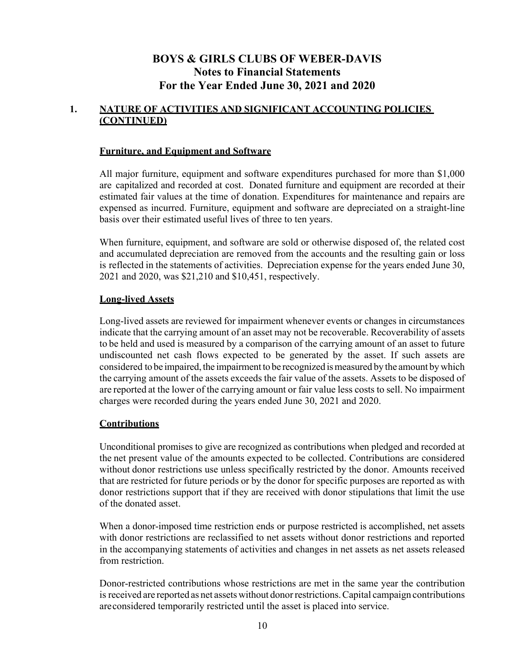# **1. NATURE OF ACTIVITIES AND SIGNIFICANT ACCOUNTING POLICIES (CONTINUED)**

## **Furniture, and Equipment and Software**

All major furniture, equipment and software expenditures purchased for more than \$1,000 are capitalized and recorded at cost. Donated furniture and equipment are recorded at their estimated fair values at the time of donation. Expenditures for maintenance and repairs are expensed as incurred. Furniture, equipment and software are depreciated on a straight-line basis over their estimated useful lives of three to ten years.

When furniture, equipment, and software are sold or otherwise disposed of, the related cost and accumulated depreciation are removed from the accounts and the resulting gain or loss is reflected in the statements of activities. Depreciation expense for the years ended June 30, 2021 and 2020, was \$21,210 and \$10,451, respectively.

## **Long-lived Assets**

Long-lived assets are reviewed for impairment whenever events or changes in circumstances indicate that the carrying amount of an asset may not be recoverable. Recoverability of assets to be held and used is measured by a comparison of the carrying amount of an asset to future undiscounted net cash flows expected to be generated by the asset. If such assets are considered to be impaired, the impairment to be recognized is measured by the amount by which the carrying amount of the assets exceeds the fair value of the assets. Assets to be disposed of are reported at the lower of the carrying amount or fair value less costs to sell. No impairment charges were recorded during the years ended June 30, 2021 and 2020.

## **Contributions**

Unconditional promises to give are recognized as contributions when pledged and recorded at the net present value of the amounts expected to be collected. Contributions are considered without donor restrictions use unless specifically restricted by the donor. Amounts received that are restricted for future periods or by the donor for specific purposes are reported as with donor restrictions support that if they are received with donor stipulations that limit the use of the donated asset.

When a donor-imposed time restriction ends or purpose restricted is accomplished, net assets with donor restrictions are reclassified to net assets without donor restrictions and reported in the accompanying statements of activities and changes in net assets as net assets released from restriction.

Donor-restricted contributions whose restrictions are met in the same year the contribution is received are reported as net assets without donor restrictions. Capital campaign contributions are considered temporarily restricted until the asset is placed into service.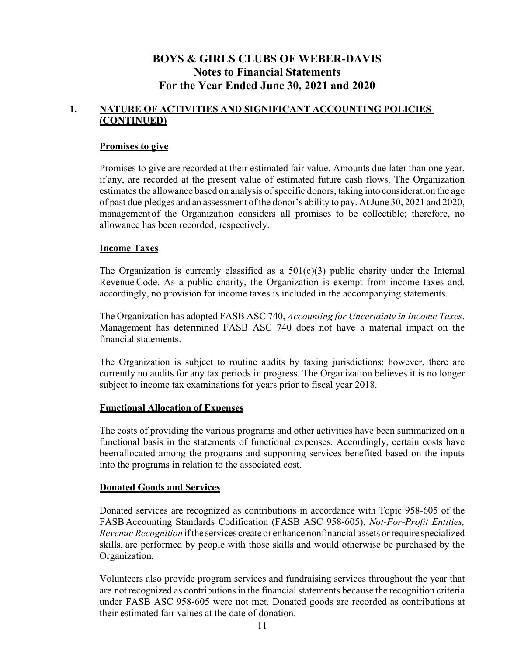## **1. NATURE OF ACTIVITIES AND SIGNIFICANT ACCOUNTING POLICIES (CONTINUED)**

### **Promises to give**

Promises to give are recorded at their estimated fair value. Amounts due later than one year, if any, are recorded at the present value of estimated future cash flows. The Organization estimates the allowance based on analysis of specific donors, taking into consideration the age of past due pledges and an assessment of the donor's ability to pay. At June 30, 2021 and 2020, management of the Organization considers all promises to be collectible; therefore, no allowance has been recorded, respectively.

### **Income Taxes**

The Organization is currently classified as a  $501(c)(3)$  public charity under the Internal Revenue Code. As a public charity, the Organization is exempt from income taxes and, accordingly, no provision for income taxes is included in the accompanying statements.

The Organization has adopted FASB ASC 740, *Accounting for Uncertainty in Income Taxes*. Management has determined FASB ASC 740 does not have a material impact on the financial statements.

The Organization is subject to routine audits by taxing jurisdictions; however, there are currently no audits for any tax periods in progress. The Organization believes it is no longer subject to income tax examinations for years prior to fiscal year 2018.

#### **Functional Allocation of Expenses**

The costs of providing the various programs and other activities have been summarized on a functional basis in the statements of functional expenses. Accordingly, certain costs have been allocated among the programs and supporting services benefited based on the inputs into the programs in relation to the associated cost.

## **Donated Goods and Services**

Donated services are recognized as contributions in accordance with Topic 958-605 of the FASB Accounting Standards Codification (FASB ASC 958-605), *Not-For-Profit Entities, Revenue Recognition* if the services create or enhance nonfinancial assets or require specialized skills, are performed by people with those skills and would otherwise be purchased by the Organization.

Volunteers also provide program services and fundraising services throughout the year that are not recognized as contributions in the financial statements because the recognition criteria under FASB ASC 958-605 were not met. Donated goods are recorded as contributions at their estimated fair values at the date of donation.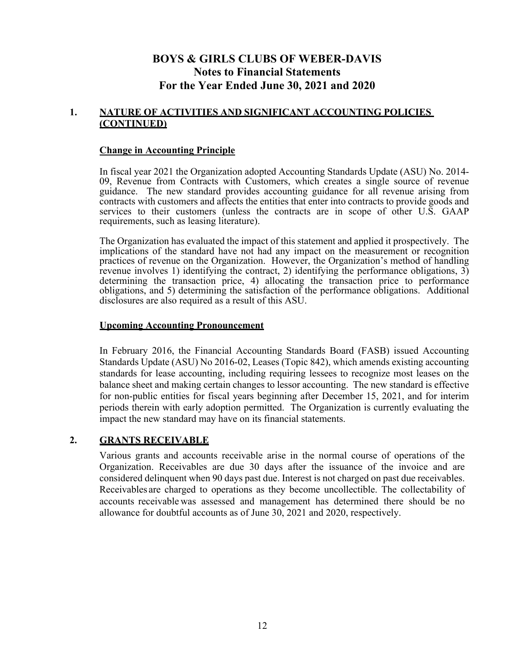## **1. NATURE OF ACTIVITIES AND SIGNIFICANT ACCOUNTING POLICIES (CONTINUED)**

## **Change in Accounting Principle**

In fiscal year 2021 the Organization adopted Accounting Standards Update (ASU) No. 2014- 09, Revenue from Contracts with Customers, which creates a single source of revenue guidance. The new standard provides accounting guidance for all revenue arising from contracts with customers and affects the entities that enter into contracts to provide goods and services to their customers (unless the contracts are in scope of other U.S. GAAP requirements, such as leasing literature).

The Organization has evaluated the impact of this statement and applied it prospectively. The implications of the standard have not had any impact on the measurement or recognition practices of revenue on the Organization. However, the Organization's method of handling revenue involves 1) identifying the contract, 2) identifying the performance obligations,  $3\bar{)}$ determining the transaction price, 4) allocating the transaction price to performance obligations, and 5) determining the satisfaction of the performance obligations. Additional disclosures are also required as a result of this ASU.

## **Upcoming Accounting Pronouncement**

In February 2016, the Financial Accounting Standards Board (FASB) issued Accounting Standards Update (ASU) No 2016-02, Leases (Topic 842), which amends existing accounting standards for lease accounting, including requiring lessees to recognize most leases on the balance sheet and making certain changes to lessor accounting. The new standard is effective for non-public entities for fiscal years beginning after December 15, 2021, and for interim periods therein with early adoption permitted. The Organization is currently evaluating the impact the new standard may have on its financial statements.

# **2. GRANTS RECEIVABLE**

Various grants and accounts receivable arise in the normal course of operations of the Organization. Receivables are due 30 days after the issuance of the invoice and are considered delinquent when 90 days past due. Interest is not charged on past due receivables. Receivables are charged to operations as they become uncollectible. The collectability of accounts receivable was assessed and management has determined there should be no allowance for doubtful accounts as of June 30, 2021 and 2020, respectively.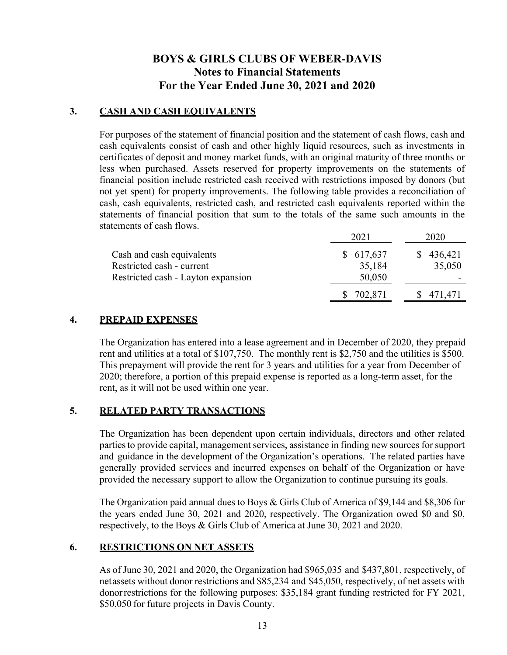# **3. CASH AND CASH EQUIVALENTS**

For purposes of the statement of financial position and the statement of cash flows, cash and cash equivalents consist of cash and other highly liquid resources, such as investments in certificates of deposit and money market funds, with an original maturity of three months or less when purchased. Assets reserved for property improvements on the statements of financial position include restricted cash received with restrictions imposed by donors (but not yet spent) for property improvements. The following table provides a reconciliation of cash, cash equivalents, restricted cash, and restricted cash equivalents reported within the statements of financial position that sum to the totals of the same such amounts in the statements of cash flows.

|                                    | 2021       | 2020      |
|------------------------------------|------------|-----------|
| Cash and cash equivalents          | \$617,637  | \$436,421 |
| Restricted cash - current          | 35,184     | 35,050    |
| Restricted cash - Layton expansion | 50,050     |           |
|                                    | \$ 702,871 | \$471,471 |

# **4. PREPAID EXPENSES**

The Organization has entered into a lease agreement and in December of 2020, they prepaid rent and utilities at a total of \$107,750. The monthly rent is \$2,750 and the utilities is \$500. This prepayment will provide the rent for 3 years and utilities for a year from December of 2020; therefore, a portion of this prepaid expense is reported as a long-term asset, for the rent, as it will not be used within one year.

# **5. RELATED PARTY TRANSACTIONS**

The Organization has been dependent upon certain individuals, directors and other related parties to provide capital, management services, assistance in finding new sources for support and guidance in the development of the Organization's operations. The related parties have generally provided services and incurred expenses on behalf of the Organization or have provided the necessary support to allow the Organization to continue pursuing its goals.

The Organization paid annual dues to Boys & Girls Club of America of \$9,144 and \$8,306 for the years ended June 30, 2021 and 2020, respectively. The Organization owed \$0 and \$0, respectively, to the Boys & Girls Club of America at June 30, 2021 and 2020.

## **6. RESTRICTIONS ON NET ASSETS**

As of June 30, 2021 and 2020, the Organization had \$965,035 and \$437,801, respectively, of net assets without donor restrictions and \$85,234 and \$45,050, respectively, of net assets with donor restrictions for the following purposes: \$35,184 grant funding restricted for FY 2021, \$50,050 for future projects in Davis County.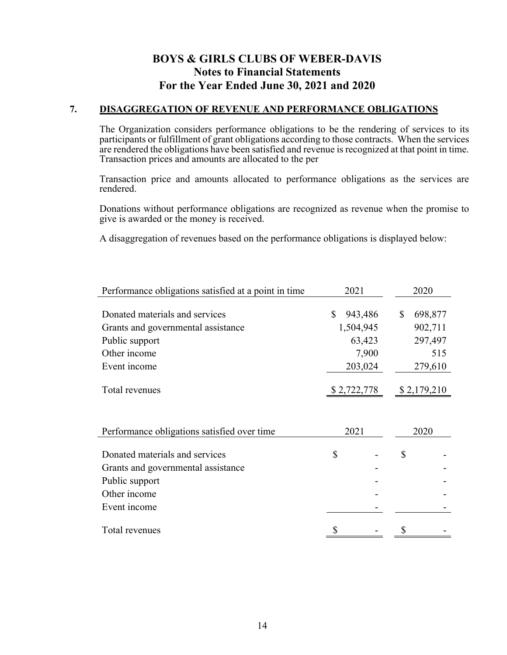### **7. DISAGGREGATION OF REVENUE AND PERFORMANCE OBLIGATIONS**

The Organization considers performance obligations to be the rendering of services to its participants or fulfillment of grant obligations according to those contracts. When the services are rendered the obligations have been satisfied and revenue is recognized at that point in time. Transaction prices and amounts are allocated to the per

Transaction price and amounts allocated to performance obligations as the services are rendered.

Donations without performance obligations are recognized as revenue when the promise to give is awarded or the money is received.

A disaggregation of revenues based on the performance obligations is displayed below:

| Performance obligations satisfied at a point in time | 2021          | 2020          |
|------------------------------------------------------|---------------|---------------|
|                                                      |               |               |
| Donated materials and services                       | \$<br>943,486 | \$<br>698,877 |
| Grants and governmental assistance                   | 1,504,945     | 902,711       |
| Public support                                       | 63,423        | 297,497       |
| Other income                                         | 7,900         | 515           |
| Event income                                         | 203,024       | 279,610       |
| Total revenues                                       | \$2,722,778   | \$2,179,210   |
|                                                      |               |               |
| Performance obligations satisfied over time          | 2021          | 2020          |
|                                                      |               |               |
| Donated materials and services                       | \$            | \$            |
| Grants and governmental assistance                   |               |               |
| Public support                                       |               |               |
| Other income                                         |               |               |
| Event income                                         |               |               |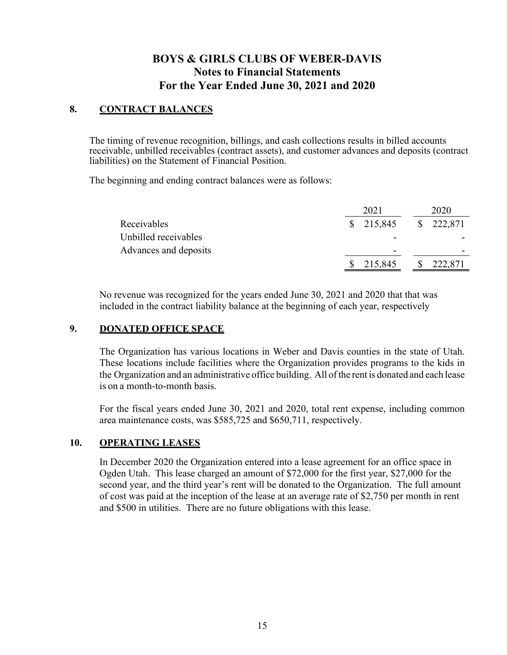# **8. CONTRACT BALANCES**

The timing of revenue recognition, billings, and cash collections results in billed accounts receivable, unbilled receivables (contract assets), and customer advances and deposits (contract liabilities) on the Statement of Financial Position.

The beginning and ending contract balances were as follows:

|                       | 2021      | 2020      |
|-----------------------|-----------|-----------|
| Receivables           | \$215,845 | \$222,871 |
| Unbilled receivables  | ۰         |           |
| Advances and deposits | -         |           |
|                       | 215,845   | 222,871   |

No revenue was recognized for the years ended June 30, 2021 and 2020 that that was included in the contract liability balance at the beginning of each year, respectively

# **9. DONATED OFFICE SPACE**

The Organization has various locations in Weber and Davis counties in the state of Utah. These locations include facilities where the Organization provides programs to the kids in the Organization and an administrative office building. All of the rent is donated and each lease is on a month-to-month basis.

For the fiscal years ended June 30, 2021 and 2020, total rent expense, including common area maintenance costs, was \$585,725 and \$650,711, respectively.

# **10. OPERATING LEASES**

In December 2020 the Organization entered into a lease agreement for an office space in Ogden Utah. This lease charged an amount of \$72,000 for the first year, \$27,000 for the second year, and the third year's rent will be donated to the Organization. The full amount of cost was paid at the inception of the lease at an average rate of \$2,750 per month in rent and \$500 in utilities. There are no future obligations with this lease.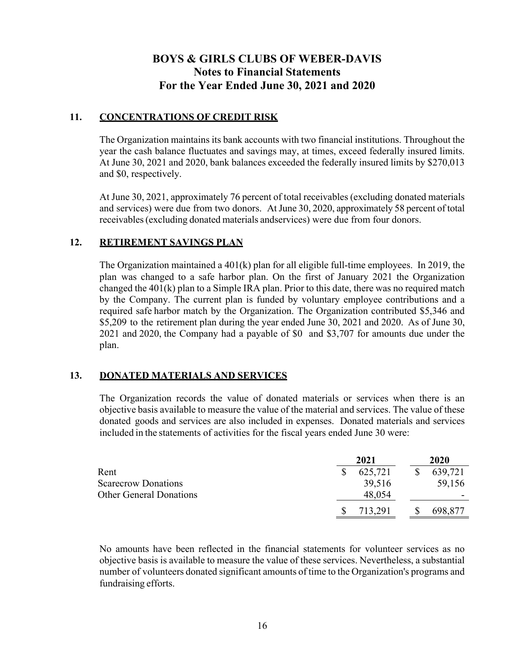# **11. CONCENTRATIONS OF CREDIT RISK**

The Organization maintains its bank accounts with two financial institutions. Throughout the year the cash balance fluctuates and savings may, at times, exceed federally insured limits. At June 30, 2021 and 2020, bank balances exceeded the federally insured limits by \$270,013 and \$0, respectively.

At June 30, 2021, approximately 76 percent of total receivables (excluding donated materials and services) were due from two donors. At June 30, 2020, approximately 58 percent of total receivables (excluding donated materials and services) were due from four donors.

# **12. RETIREMENT SAVINGS PLAN**

The Organization maintained a 401(k) plan for all eligible full-time employees. In 2019, the plan was changed to a safe harbor plan. On the first of January 2021 the Organization changed the 401(k) plan to a Simple IRA plan. Prior to this date, there was no required match by the Company. The current plan is funded by voluntary employee contributions and a required safe harbor match by the Organization. The Organization contributed \$5,346 and \$5,209 to the retirement plan during the year ended June 30, 2021 and 2020. As of June 30, 2021 and 2020, the Company had a payable of \$0 and \$3,707 for amounts due under the plan.

# **13. DONATED MATERIALS AND SERVICES**

The Organization records the value of donated materials or services when there is an objective basis available to measure the value of the material and services. The value of these donated goods and services are also included in expenses. Donated materials and services included in the statements of activities for the fiscal years ended June 30 were:

|                                | 2021 |         | 2020                     |
|--------------------------------|------|---------|--------------------------|
| Rent                           |      | 625,721 | 639,721                  |
| <b>Scarecrow Donations</b>     |      | 39,516  | 59,156                   |
| <b>Other General Donations</b> |      | 48,054  | $\overline{\phantom{0}}$ |
|                                |      | 713,291 | 698,877                  |

No amounts have been reflected in the financial statements for volunteer services as no objective basis is available to measure the value of these services. Nevertheless, a substantial number of volunteers donated significant amounts of time to the Organization's programs and fundraising efforts.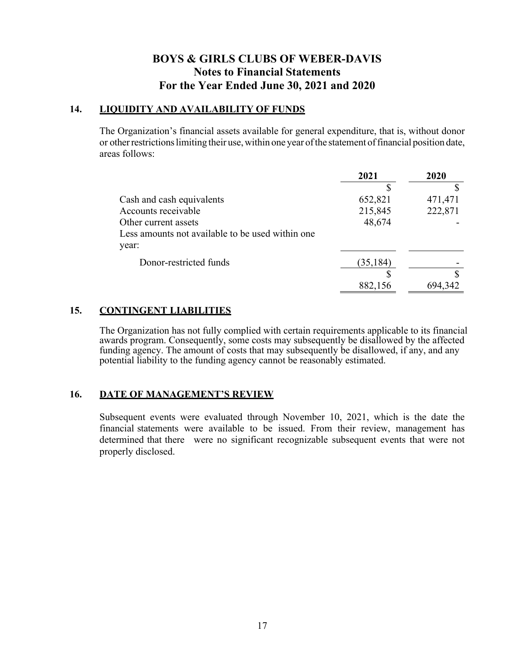# **14. LIQUIDITY AND AVAILABILITY OF FUNDS**

The Organization's financial assets available for general expenditure, that is, without donor or other restrictions limiting their use, within one year of the statement of financial position date, areas follows:

|                                                   | 2021      | 2020    |
|---------------------------------------------------|-----------|---------|
|                                                   |           |         |
| Cash and cash equivalents                         | 652,821   | 471,471 |
| Accounts receivable                               | 215,845   | 222,871 |
| Other current assets                              | 48,674    |         |
| Less amounts not available to be used within one. |           |         |
| year:                                             |           |         |
| Donor-restricted funds                            | (35, 184) |         |
|                                                   |           |         |
|                                                   | 882,156   | 694,342 |

# **15. CONTINGENT LIABILITIES**

The Organization has not fully complied with certain requirements applicable to its financial awards program. Consequently, some costs may subsequently be disallowed by the affected funding agency. The amount of costs that may subsequently be disallowed, if any, and any potential liability to the funding agency cannot be reasonably estimated.

# **16. DATE OF MANAGEMENT'S REVIEW**

Subsequent events were evaluated through November 10, 2021, which is the date the financial statements were available to be issued. From their review, management has determined that there were no significant recognizable subsequent events that were not properly disclosed.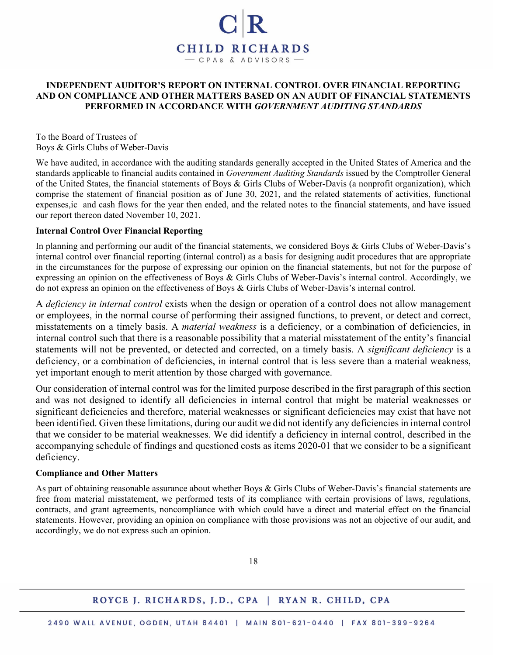

### **INDEPENDENT AUDITOR'S REPORT ON INTERNAL CONTROL OVER FINANCIAL REPORTING AND ON COMPLIANCE AND OTHER MATTERS BASED ON AN AUDIT OF FINANCIAL STATEMENTS PERFORMED IN ACCORDANCE WITH** *GOVERNMENT AUDITING STANDARDS*

To the Board of Trustees of Boys & Girls Clubs of Weber-Davis

We have audited, in accordance with the auditing standards generally accepted in the United States of America and the standards applicable to financial audits contained in *Government Auditing Standards* issued by the Comptroller General of the United States, the financial statements of Boys & Girls Clubs of Weber-Davis (a nonprofit organization), which comprise the statement of financial position as of June 30, 2021, and the related statements of activities, functional expenses,ic and cash flows for the year then ended, and the related notes to the financial statements, and have issued our report thereon dated November 10, 2021.

#### **Internal Control Over Financial Reporting**

In planning and performing our audit of the financial statements, we considered Boys & Girls Clubs of Weber-Davis's internal control over financial reporting (internal control) as a basis for designing audit procedures that are appropriate in the circumstances for the purpose of expressing our opinion on the financial statements, but not for the purpose of expressing an opinion on the effectiveness of Boys & Girls Clubs of Weber-Davis's internal control. Accordingly, we do not express an opinion on the effectiveness of Boys & Girls Clubs of Weber-Davis's internal control.

A *deficiency in internal control* exists when the design or operation of a control does not allow management or employees, in the normal course of performing their assigned functions, to prevent, or detect and correct, misstatements on a timely basis. A *material weakness* is a deficiency, or a combination of deficiencies, in internal control such that there is a reasonable possibility that a material misstatement of the entity's financial statements will not be prevented, or detected and corrected, on a timely basis. A *significant deficiency* is a deficiency, or a combination of deficiencies, in internal control that is less severe than a material weakness, yet important enough to merit attention by those charged with governance.

Our consideration of internal control was for the limited purpose described in the first paragraph of this section and was not designed to identify all deficiencies in internal control that might be material weaknesses or significant deficiencies and therefore, material weaknesses or significant deficiencies may exist that have not been identified. Given these limitations, during our audit we did not identify any deficiencies in internal control that we consider to be material weaknesses. We did identify a deficiency in internal control, described in the accompanying schedule of findings and questioned costs as items 2020-01 that we consider to be a significant deficiency.

#### **Compliance and Other Matters**

As part of obtaining reasonable assurance about whether Boys & Girls Clubs of Weber-Davis's financial statements are free from material misstatement, we performed tests of its compliance with certain provisions of laws, regulations, contracts, and grant agreements, noncompliance with which could have a direct and material effect on the financial statements. However, providing an opinion on compliance with those provisions was not an objective of our audit, and accordingly, we do not express such an opinion.

ROYCE J. RICHARDS, J.D., CPA | RYAN R. CHILD, CPA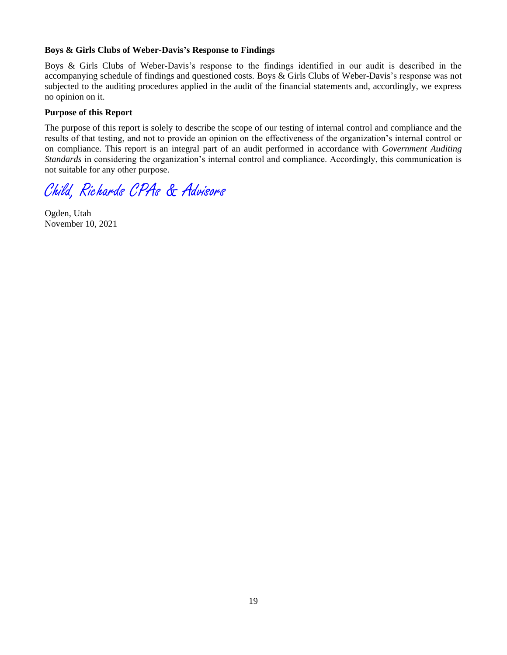#### **Boys & Girls Clubs of Weber-Davis's Response to Findings**

Boys & Girls Clubs of Weber-Davis's response to the findings identified in our audit is described in the accompanying schedule of findings and questioned costs. Boys & Girls Clubs of Weber-Davis's response was not subjected to the auditing procedures applied in the audit of the financial statements and, accordingly, we express no opinion on it.

#### **Purpose of this Report**

The purpose of this report is solely to describe the scope of our testing of internal control and compliance and the results of that testing, and not to provide an opinion on the effectiveness of the organization's internal control or on compliance. This report is an integral part of an audit performed in accordance with *Government Auditing Standards* in considering the organization's internal control and compliance. Accordingly, this communication is not suitable for any other purpose.

Child, Richards CPAs & Advisors

Ogden, Utah November 10, 2021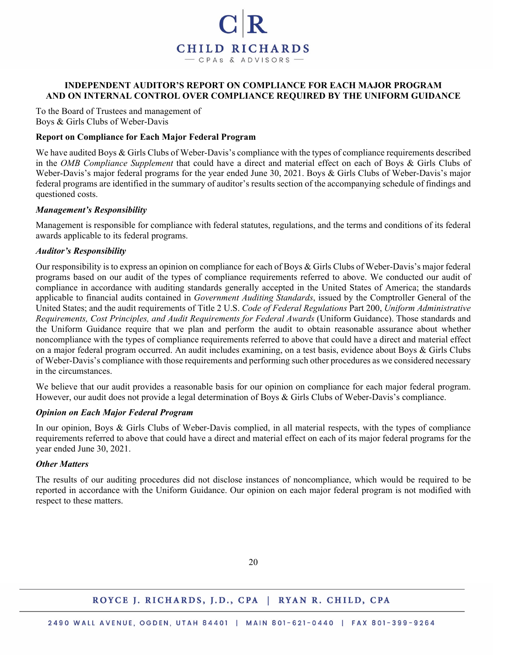

#### **INDEPENDENT AUDITOR'S REPORT ON COMPLIANCE FOR EACH MAJOR PROGRAM AND ON INTERNAL CONTROL OVER COMPLIANCE REQUIRED BY THE UNIFORM GUIDANCE**

To the Board of Trustees and management of Boys & Girls Clubs of Weber-Davis

#### **Report on Compliance for Each Major Federal Program**

We have audited Boys & Girls Clubs of Weber-Davis's compliance with the types of compliance requirements described in the *OMB Compliance Supplement* that could have a direct and material effect on each of Boys & Girls Clubs of Weber-Davis's major federal programs for the year ended June 30, 2021. Boys & Girls Clubs of Weber-Davis's major federal programs are identified in the summary of auditor's results section of the accompanying schedule of findings and questioned costs.

#### *Management's Responsibility*

Management is responsible for compliance with federal statutes, regulations, and the terms and conditions of its federal awards applicable to its federal programs.

#### *Auditor's Responsibility*

Our responsibility is to express an opinion on compliance for each of Boys & Girls Clubs of Weber-Davis's major federal programs based on our audit of the types of compliance requirements referred to above. We conducted our audit of compliance in accordance with auditing standards generally accepted in the United States of America; the standards applicable to financial audits contained in *Government Auditing Standards*, issued by the Comptroller General of the United States; and the audit requirements of Title 2 U.S. *Code of Federal Regulations* Part 200, *Uniform Administrative Requirements, Cost Principles, and Audit Requirements for Federal Awards* (Uniform Guidance). Those standards and the Uniform Guidance require that we plan and perform the audit to obtain reasonable assurance about whether noncompliance with the types of compliance requirements referred to above that could have a direct and material effect on a major federal program occurred. An audit includes examining, on a test basis, evidence about Boys & Girls Clubs of Weber-Davis's compliance with those requirements and performing such other procedures as we considered necessary in the circumstances.

We believe that our audit provides a reasonable basis for our opinion on compliance for each major federal program. However, our audit does not provide a legal determination of Boys & Girls Clubs of Weber-Davis's compliance.

#### *Opinion on Each Major Federal Program*

In our opinion, Boys & Girls Clubs of Weber-Davis complied, in all material respects, with the types of compliance requirements referred to above that could have a direct and material effect on each of its major federal programs for the year ended June 30, 2021.

#### *Other Matters*

The results of our auditing procedures did not disclose instances of noncompliance, which would be required to be reported in accordance with the Uniform Guidance. Our opinion on each major federal program is not modified with respect to these matters.

# ROYCE J. RICHARDS, J.D., CPA | RYAN R. CHILD, CPA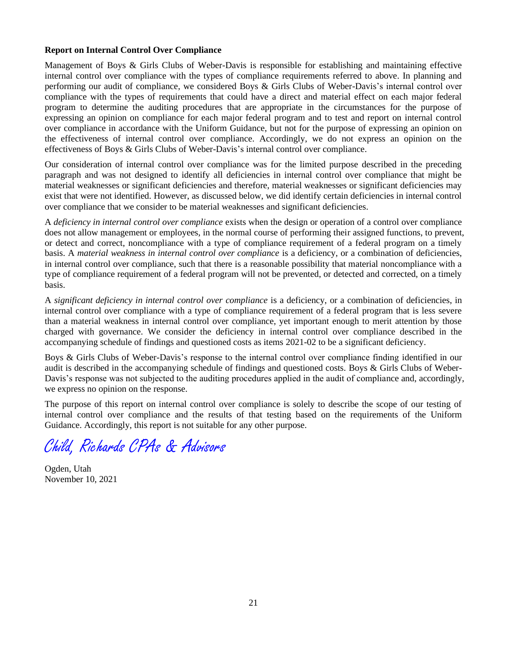#### **Report on Internal Control Over Compliance**

Management of Boys & Girls Clubs of Weber-Davis is responsible for establishing and maintaining effective internal control over compliance with the types of compliance requirements referred to above. In planning and performing our audit of compliance, we considered Boys & Girls Clubs of Weber-Davis's internal control over compliance with the types of requirements that could have a direct and material effect on each major federal program to determine the auditing procedures that are appropriate in the circumstances for the purpose of expressing an opinion on compliance for each major federal program and to test and report on internal control over compliance in accordance with the Uniform Guidance, but not for the purpose of expressing an opinion on the effectiveness of internal control over compliance. Accordingly, we do not express an opinion on the effectiveness of Boys & Girls Clubs of Weber-Davis's internal control over compliance.

Our consideration of internal control over compliance was for the limited purpose described in the preceding paragraph and was not designed to identify all deficiencies in internal control over compliance that might be material weaknesses or significant deficiencies and therefore, material weaknesses or significant deficiencies may exist that were not identified. However, as discussed below, we did identify certain deficiencies in internal control over compliance that we consider to be material weaknesses and significant deficiencies.

A *deficiency in internal control over compliance* exists when the design or operation of a control over compliance does not allow management or employees, in the normal course of performing their assigned functions, to prevent, or detect and correct, noncompliance with a type of compliance requirement of a federal program on a timely basis. A *material weakness in internal control over compliance* is a deficiency, or a combination of deficiencies, in internal control over compliance, such that there is a reasonable possibility that material noncompliance with a type of compliance requirement of a federal program will not be prevented, or detected and corrected, on a timely basis.

A *significant deficiency in internal control over compliance* is a deficiency, or a combination of deficiencies, in internal control over compliance with a type of compliance requirement of a federal program that is less severe than a material weakness in internal control over compliance, yet important enough to merit attention by those charged with governance. We consider the deficiency in internal control over compliance described in the accompanying schedule of findings and questioned costs as items 2021-02 to be a significant deficiency.

Boys & Girls Clubs of Weber-Davis's response to the internal control over compliance finding identified in our audit is described in the accompanying schedule of findings and questioned costs. Boys & Girls Clubs of Weber-Davis's response was not subjected to the auditing procedures applied in the audit of compliance and, accordingly, we express no opinion on the response.

The purpose of this report on internal control over compliance is solely to describe the scope of our testing of internal control over compliance and the results of that testing based on the requirements of the Uniform Guidance. Accordingly, this report is not suitable for any other purpose.

Child, Richards CPAs & Advisors

Ogden, Utah November 10, 2021